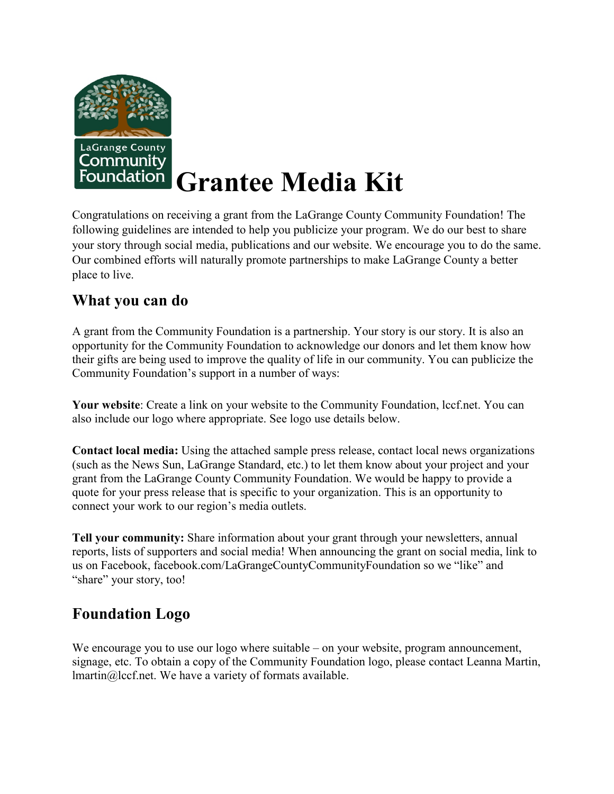

# **Grantee Media Kit**

Congratulations on receiving a grant from the LaGrange County Community Foundation! The following guidelines are intended to help you publicize your program. We do our best to share your story through social media, publications and our website. We encourage you to do the same. Our combined efforts will naturally promote partnerships to make LaGrange County a better place to live.

#### **What you can do**

A grant from the Community Foundation is a partnership. Your story is our story. It is also an opportunity for the Community Foundation to acknowledge our donors and let them know how their gifts are being used to improve the quality of life in our community. You can publicize the Community Foundation's support in a number of ways:

**Your website**: Create a link on your website to the Community Foundation, lccf.net. You can also include our logo where appropriate. See logo use details below.

**Contact local media:** Using the attached sample press release, contact local news organizations (such as the News Sun, LaGrange Standard, etc.) to let them know about your project and your grant from the LaGrange County Community Foundation. We would be happy to provide a quote for your press release that is specific to your organization. This is an opportunity to connect your work to our region's media outlets.

**Tell your community:** Share information about your grant through your newsletters, annual reports, lists of supporters and social media! When announcing the grant on social media, link to us on Facebook, facebook.com/LaGrangeCountyCommunityFoundation so we "like" and "share" your story, too!

#### **Foundation Logo**

We encourage you to use our logo where suitable – on your website, program announcement, signage, etc. To obtain a copy of the Community Foundation logo, please contact Leanna Martin, lmartin@lccf.net. We have a variety of formats available.